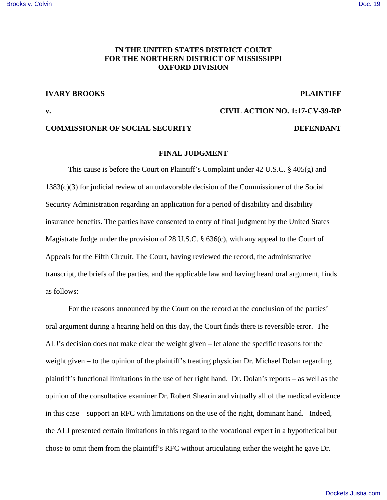### [Brooks v. Colvin](https://dockets.justia.com/docket/mississippi/msndce/1:2017cv00039/39328/) [Doc. 19](https://docs.justia.com/cases/federal/district-courts/mississippi/msndce/1:2017cv00039/39328/19/)

# **IN THE UNITED STATES DISTRICT COURT FOR THE NORTHERN DISTRICT OF MISSISSIPPI OXFORD DIVISION**

### **IVARY BROOKS** PLAINTIFF

**v. CIVIL ACTION NO. 1:17-CV-39-RP** 

## **COMMISSIONER OF SOCIAL SECURITY DEFENDANT**

#### **FINAL JUDGMENT**

 This cause is before the Court on Plaintiff's Complaint under 42 U.S.C. § 405(g) and 1383(c)(3) for judicial review of an unfavorable decision of the Commissioner of the Social Security Administration regarding an application for a period of disability and disability insurance benefits. The parties have consented to entry of final judgment by the United States Magistrate Judge under the provision of 28 U.S.C. § 636(c), with any appeal to the Court of Appeals for the Fifth Circuit. The Court, having reviewed the record, the administrative transcript, the briefs of the parties, and the applicable law and having heard oral argument, finds as follows:

 For the reasons announced by the Court on the record at the conclusion of the parties' oral argument during a hearing held on this day, the Court finds there is reversible error. The ALJ's decision does not make clear the weight given – let alone the specific reasons for the weight given – to the opinion of the plaintiff's treating physician Dr. Michael Dolan regarding plaintiff's functional limitations in the use of her right hand. Dr. Dolan's reports – as well as the opinion of the consultative examiner Dr. Robert Shearin and virtually all of the medical evidence in this case – support an RFC with limitations on the use of the right, dominant hand. Indeed, the ALJ presented certain limitations in this regard to the vocational expert in a hypothetical but chose to omit them from the plaintiff's RFC without articulating either the weight he gave Dr.